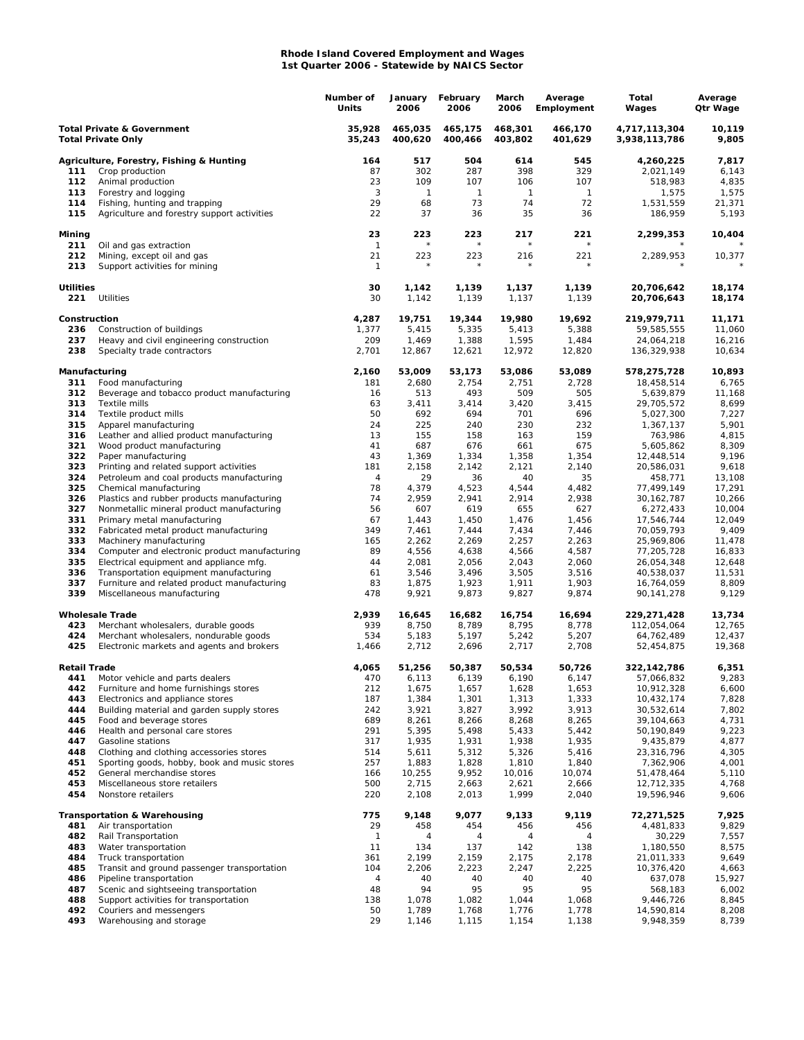## **Rhode Island Covered Employment and Wages 1st Quarter 2006 - Statewide by NAICS Sector**

|                                                                    |                                                                            | Number of<br>Units | January<br>2006    | February<br>2006   | March<br>2006      | Average<br>Employment | Total<br>Wages                 | Average<br>Qtr Wage |
|--------------------------------------------------------------------|----------------------------------------------------------------------------|--------------------|--------------------|--------------------|--------------------|-----------------------|--------------------------------|---------------------|
| <b>Total Private &amp; Government</b><br><b>Total Private Only</b> |                                                                            | 35,928<br>35,243   | 465,035<br>400,620 | 465.175<br>400,466 | 468,301<br>403,802 | 466,170<br>401,629    | 4,717,113,304<br>3,938,113,786 | 10,119<br>9,805     |
|                                                                    | Agriculture, Forestry, Fishing & Hunting                                   | 164                | 517                | 504                | 614                | 545                   | 4,260,225                      | 7,817               |
| 111                                                                | Crop production                                                            | 87                 | 302                | 287                | 398                | 329                   | 2,021,149                      | 6,143               |
| 112                                                                | Animal production                                                          | 23                 | 109                | 107                | 106                | 107                   | 518,983                        | 4,835               |
| 113                                                                | Forestry and logging                                                       | 3                  | 1                  | $\mathbf{1}$       | $\mathbf{1}$       | $\mathbf{1}$          | 1,575                          | 1,575               |
| 114                                                                | Fishing, hunting and trapping                                              | 29                 | 68                 | 73                 | 74                 | 72                    | 1,531,559                      | 21,371              |
| 115                                                                | Agriculture and forestry support activities                                | 22                 | 37                 | 36                 | 35                 | 36                    | 186,959                        | 5,193               |
| Mining<br>211                                                      | Oil and gas extraction                                                     | 23<br>$\mathbf{1}$ | 223                | 223                | 217<br>$\star$     | 221                   | 2,299,353                      | 10,404              |
| 212<br>213                                                         | Mining, except oil and gas<br>Support activities for mining                | 21<br>$\mathbf{1}$ | 223                | 223                | 216                | 221                   | 2,289,953                      | 10,377              |
|                                                                    |                                                                            |                    |                    |                    |                    |                       |                                |                     |
| <b>Utilities</b><br>221                                            | Utilities                                                                  | 30<br>30           | 1,142<br>1,142     | 1,139<br>1,139     | 1,137<br>1,137     | 1,139<br>1,139        | 20,706,642<br>20,706,643       | 18,174<br>18,174    |
| Construction                                                       |                                                                            | 4,287              | 19,751             | 19,344             | 19,980             | 19,692                | 219,979,711                    | 11,171              |
| 236                                                                | Construction of buildings                                                  | 1,377              | 5,415              | 5,335              | 5,413              | 5,388                 | 59,585,555                     | 11,060              |
| 237                                                                | Heavy and civil engineering construction                                   | 209                | 1,469              | 1,388              | 1,595              | 1,484                 | 24,064,218                     | 16,216              |
| 238                                                                | Specialty trade contractors                                                | 2,701              | 12,867             | 12,621             | 12,972             | 12,820                | 136,329,938                    | 10,634              |
| Manufacturing<br>311                                               |                                                                            | 2,160<br>181       | 53,009<br>2,680    | 53,173<br>2,754    | 53,086<br>2,751    | 53,089<br>2,728       | 578,275,728                    | 10,893<br>6,765     |
| 312                                                                | Food manufacturing<br>Beverage and tobacco product manufacturing           | 16                 | 513                | 493                | 509                | 505                   | 18,458,514<br>5,639,879        | 11,168              |
| 313                                                                | Textile mills                                                              | 63                 | 3,411              | 3,414              | 3,420              | 3,415                 | 29,705,572                     | 8,699               |
| 314                                                                | Textile product mills                                                      | 50                 | 692                | 694                | 701                | 696                   | 5,027,300                      | 7,227               |
| 315                                                                | Apparel manufacturing                                                      | 24                 | 225                | 240                | 230                | 232                   | 1,367,137                      | 5,901               |
| 316                                                                | Leather and allied product manufacturing                                   | 13                 | 155                | 158                | 163                | 159                   | 763,986                        | 4,815               |
| 321                                                                | Wood product manufacturing                                                 | 41                 | 687                | 676                | 661                | 675                   | 5,605,862                      | 8,309               |
| 322                                                                | Paper manufacturing                                                        | 43                 | 1,369              | 1,334              | 1,358              | 1,354                 | 12,448,514                     | 9,196               |
| 323                                                                | Printing and related support activities                                    | 181                | 2,158              | 2,142              | 2,121              | 2,140                 | 20,586,031                     | 9,618               |
| 324<br>325                                                         | Petroleum and coal products manufacturing                                  | 4<br>78            | 29<br>4,379        | 36<br>4,523        | 40<br>4,544        | 35<br>4,482           | 458,771<br>77,499,149          | 13,108              |
| 326                                                                | Chemical manufacturing<br>Plastics and rubber products manufacturing       | 74                 | 2,959              | 2,941              | 2,914              | 2,938                 | 30, 162, 787                   | 17,291<br>10,266    |
| 327                                                                | Nonmetallic mineral product manufacturing                                  | 56                 | 607                | 619                | 655                | 627                   | 6,272,433                      | 10,004              |
| 331                                                                | Primary metal manufacturing                                                | 67                 | 1,443              | 1,450              | 1,476              | 1,456                 | 17,546,744                     | 12,049              |
| 332                                                                | Fabricated metal product manufacturing                                     | 349                | 7,461              | 7,444              | 7,434              | 7,446                 | 70,059,793                     | 9,409               |
| 333                                                                | Machinery manufacturing                                                    | 165                | 2,262              | 2,269              | 2,257              | 2,263                 | 25,969,806                     | 11,478              |
| 334                                                                | Computer and electronic product manufacturing                              | 89                 | 4,556              | 4,638              | 4,566              | 4,587                 | 77,205,728                     | 16,833              |
| 335                                                                | Electrical equipment and appliance mfg.                                    | 44                 | 2,081              | 2,056              | 2,043              | 2,060                 | 26,054,348                     | 12,648              |
| 336                                                                | Transportation equipment manufacturing                                     | 61                 | 3,546              | 3,496              | 3,505              | 3,516                 | 40,538,037                     | 11,531              |
| 337<br>339                                                         | Furniture and related product manufacturing<br>Miscellaneous manufacturing | 83<br>478          | 1,875<br>9,921     | 1,923<br>9,873     | 1,911<br>9,827     | 1,903<br>9,874        | 16,764,059<br>90,141,278       | 8,809<br>9,129      |
|                                                                    | <b>Wholesale Trade</b>                                                     | 2,939              | 16,645             | 16,682             | 16,754             | 16,694                | 229,271,428                    | 13,734              |
| 423                                                                | Merchant wholesalers, durable goods                                        | 939                | 8,750              | 8,789              | 8,795              | 8,778                 | 112,054,064                    | 12,765              |
| 424                                                                | Merchant wholesalers, nondurable goods                                     | 534                | 5,183              | 5,197              | 5,242              | 5,207                 | 64,762,489                     | 12,437              |
| 425                                                                | Electronic markets and agents and brokers                                  | 1,466              | 2,712              | 2,696              | 2,717              | 2,708                 | 52,454,875                     | 19,368              |
| <b>Retail Trade</b>                                                |                                                                            | 4,065              | 51,256             | 50,387             | 50,534             | 50,726                | 322,142,786                    | 6,351               |
| 441                                                                | Motor vehicle and parts dealers                                            | 470                | 6,113              | 6,139              | 6,190              | 6,147                 | 57,066,832                     | 9,283               |
| 442<br>443                                                         | Furniture and home furnishings stores<br>Electronics and appliance stores  | 212<br>187         | 1,675<br>1,384     | 1,657<br>1,301     | 1,628<br>1,313     | 1,653<br>1,333        | 10,912,328<br>10,432,174       | 6,600<br>7,828      |
| 444                                                                | Building material and garden supply stores                                 | 242                | 3,921              | 3,827              | 3,992              | 3,913                 | 30,532,614                     | 7,802               |
| 445                                                                | Food and beverage stores                                                   | 689                | 8,261              | 8,266              | 8,268              | 8,265                 | 39,104,663                     | 4,731               |
| 446                                                                | Health and personal care stores                                            | 291                | 5,395              | 5,498              | 5,433              | 5,442                 | 50,190,849                     | 9,223               |
| 447                                                                | Gasoline stations                                                          | 317                | 1,935              | 1,931              | 1,938              | 1,935                 | 9,435,879                      | 4,877               |
| 448                                                                | Clothing and clothing accessories stores                                   | 514                | 5,611              | 5,312              | 5,326              | 5,416                 | 23,316,796                     | 4,305               |
| 451                                                                | Sporting goods, hobby, book and music stores                               | 257                | 1,883              | 1,828              | 1,810              | 1,840                 | 7,362,906                      | 4,001               |
| 452                                                                | General merchandise stores                                                 | 166                | 10,255             | 9,952              | 10,016             | 10,074                | 51,478,464                     | 5,110               |
| 453<br>454                                                         | Miscellaneous store retailers<br>Nonstore retailers                        | 500<br>220         | 2,715<br>2,108     | 2,663<br>2,013     | 2,621<br>1,999     | 2,666<br>2,040        | 12,712,335<br>19,596,946       | 4,768<br>9,606      |
|                                                                    | <b>Transportation &amp; Warehousing</b>                                    | 775                | 9,148              | 9,077              | 9,133              | 9,119                 | 72,271,525                     | 7,925               |
| 481                                                                | Air transportation                                                         | 29                 | 458                | 454                | 456                | 456                   | 4,481,833                      | 9,829               |
| 482                                                                | Rail Transportation                                                        | $\mathbf{1}$       | 4                  | 4                  | 4                  | 4                     | 30,229                         | 7,557               |
| 483                                                                | Water transportation                                                       | 11                 | 134                | 137                | 142                | 138                   | 1,180,550                      | 8,575               |
| 484                                                                | Truck transportation                                                       | 361                | 2,199              | 2,159              | 2,175              | 2,178                 | 21,011,333                     | 9,649               |
| 485                                                                | Transit and ground passenger transportation                                | 104                | 2,206              | 2,223              | 2,247              | 2,225                 | 10,376,420                     | 4,663               |
| 486                                                                | Pipeline transportation                                                    | 4                  | 40                 | 40                 | 40                 | 40                    | 637,078                        | 15,927              |
| 487                                                                | Scenic and sightseeing transportation                                      | 48                 | 94                 | 95                 | 95                 | 95                    | 568,183                        | 6,002               |
| 488<br>492                                                         | Support activities for transportation<br>Couriers and messengers           | 138<br>50          | 1,078<br>1,789     | 1,082<br>1,768     | 1,044<br>1,776     | 1,068<br>1,778        | 9,446,726<br>14,590,814        | 8,845<br>8,208      |
| 493                                                                | Warehousing and storage                                                    | 29                 | 1,146              | 1,115              | 1,154              | 1,138                 | 9,948,359                      | 8,739               |
|                                                                    |                                                                            |                    |                    |                    |                    |                       |                                |                     |